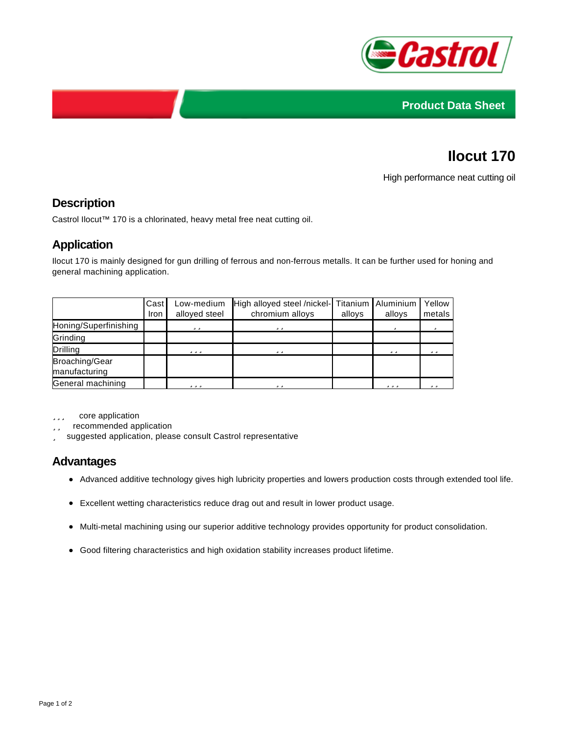



# **Ilocut 170**

High performance neat cutting oil

### **Description**

Castrol Ilocut™ 170 is a chlorinated, heavy metal free neat cutting oil.

#### **Application**

Ilocut 170 is mainly designed for gun drilling of ferrous and non-ferrous metalls. It can be further used for honing and general machining application.

|                                 | Cast<br>Iron | Low-medium<br>alloyed steel | High alloyed steel /nickel- Titanium Aluminium<br>chromium alloys | alloys | alloys | Yellow<br>metals  |
|---------------------------------|--------------|-----------------------------|-------------------------------------------------------------------|--------|--------|-------------------|
| Honing/Superfinishing           |              | د د                         | د د                                                               |        | د      | $\Delta$          |
| Grinding                        |              |                             |                                                                   |        |        |                   |
| Drilling                        |              | د د د                       | د د                                                               |        | د د    | د د               |
| Broaching/Gear<br>manufacturing |              |                             |                                                                   |        |        |                   |
| General machining               |              | د د د                       | د د                                                               |        | د د د  | $\Delta$ $\Delta$ |

core application

recommended application

suggested application, please consult Castrol representative

#### **Advantages**

- Advanced additive technology gives high lubricity properties and lowers production costs through extended tool life.
- Excellent wetting characteristics reduce drag out and result in lower product usage.
- Multi-metal machining using our superior additive technology provides opportunity for product consolidation.
- Good filtering characteristics and high oxidation stability increases product lifetime.